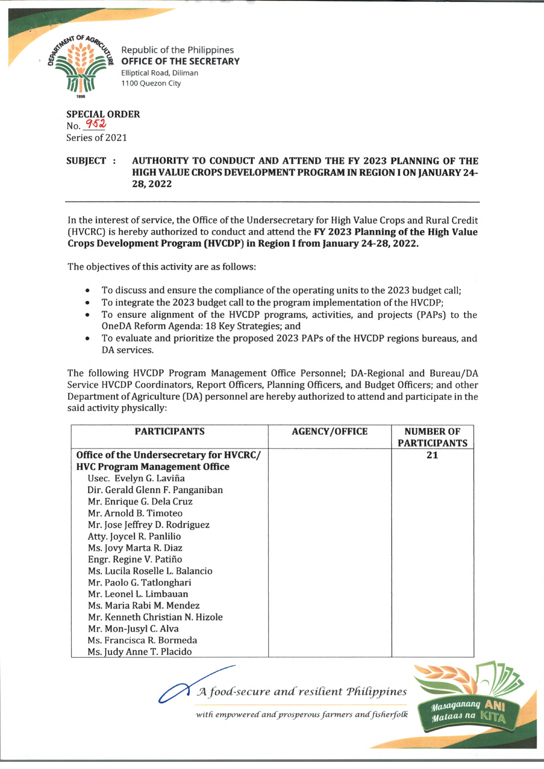

Republic of the Philippines **OFFICE OF THE SECRETARY** Elliptical Road, Diliman 1100 Quezon City

## **SPECIAL ORDER**  $No. 952$ Series of 2021

## **SUBJECT : AUTHORITY TO CONDUCT AND ATTEND THE FY 2023 PLANNING OF THE HIGH VALUE CROPS DEVELOPMENT PROGRAM IN REGION I ON JANUARY 24- 28,2022**

In the interest of service, the Office of the Undersecretary for High Value Crops and Rural Credit (HVCRC) is hereby authorized to conduct and attend the **FY 2023 Planning of the High Value Crops Development Program (HVCDP) in Region I from January 24-28, 2022.**

The objectives of this activity are as follows:

- To discuss and ensure the compliance of the operating units to the 2023 budget call;
- To integrate the 2023 budget call to the program implementation of the HVCDP;
- To ensure alignment of the HVCDP programs, activities, and projects (PAPs) to the OneDA Reform Agenda: 18 Key Strategies; and
- To evaluate and prioritize the proposed 2023 PAPs of the HVCDP regions bureaus, and DA services.

The following HVCDP Program Management Office Personnel; DA-Regional and Bureau/DA Service HVCDP Coordinators, Report Officers, Planning Officers, and Budget Officers; and other Department of Agriculture (DA) personnel are hereby authorized to attend and participate in the said activity physically:

| <b>PARTICIPANTS</b>                     | <b>AGENCY/OFFICE</b> | <b>NUMBER OF</b><br><b>PARTICIPANTS</b> |
|-----------------------------------------|----------------------|-----------------------------------------|
| Office of the Undersecretary for HVCRC/ |                      | 21                                      |
| <b>HVC Program Management Office</b>    |                      |                                         |
| Usec. Evelyn G. Laviña                  |                      |                                         |
| Dir. Gerald Glenn F. Panganiban         |                      |                                         |
| Mr. Enrique G. Dela Cruz                |                      |                                         |
| Mr. Arnold B. Timoteo                   |                      |                                         |
| Mr. Jose Jeffrey D. Rodriguez           |                      |                                         |
| Atty. Joycel R. Panlilio                |                      |                                         |
| Ms. Jovy Marta R. Diaz                  |                      |                                         |
| Engr. Regine V. Patiño                  |                      |                                         |
| Ms. Lucila Roselle L. Balancio          |                      |                                         |
| Mr. Paolo G. Tatlonghari                |                      |                                         |
| Mr. Leonel L. Limbauan                  |                      |                                         |
| Ms. Maria Rabi M. Mendez                |                      |                                         |
| Mr. Kenneth Christian N. Hizole         |                      |                                         |
| Mr. Mon-Jusyl C. Alva                   |                      |                                         |
| Ms. Francisca R. Bormeda                |                      |                                         |
| Ms. Judy Anne T. Placido                |                      |                                         |

*A food-secure and resilient Philippines* 



with empowered and prosperous farmers and fisherfolk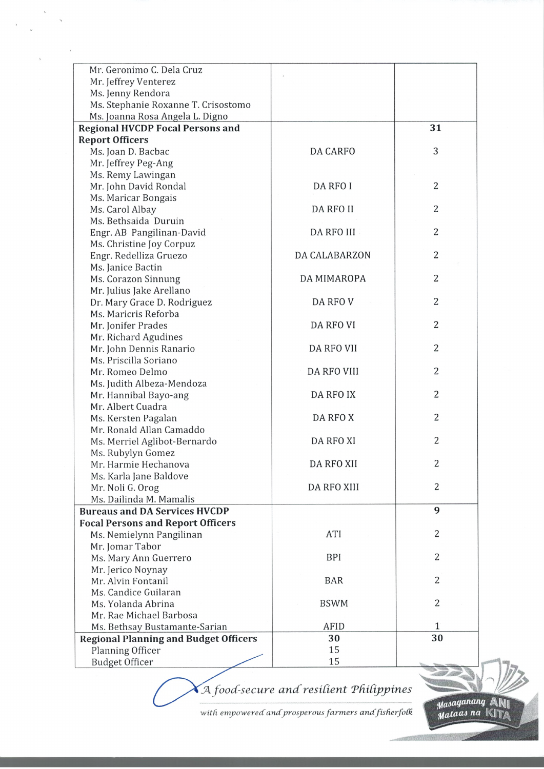| Mr. Geronimo C. Dela Cruz                    |                      |                |
|----------------------------------------------|----------------------|----------------|
| Mr. Jeffrey Venterez                         |                      |                |
| Ms. Jenny Rendora                            |                      |                |
| Ms. Stephanie Roxanne T. Crisostomo          |                      |                |
| Ms. Joanna Rosa Angela L. Digno              |                      |                |
| <b>Regional HVCDP Focal Persons and</b>      |                      | 31             |
| <b>Report Officers</b>                       |                      |                |
| Ms. Joan D. Bacbac                           | <b>DA CARFO</b>      | 3              |
| Mr. Jeffrey Peg-Ang                          |                      |                |
| Ms. Remy Lawingan                            |                      |                |
| Mr. John David Rondal                        | DA RFO I             | $\overline{2}$ |
| Ms. Maricar Bongais                          |                      |                |
| Ms. Carol Albay                              | <b>DA RFO II</b>     | 2              |
| Ms. Bethsaida Duruin                         |                      |                |
| Engr. AB Pangilinan-David                    | DA RFO III           | $\overline{c}$ |
| Ms. Christine Joy Corpuz                     |                      |                |
| Engr. Redelliza Gruezo                       | <b>DA CALABARZON</b> | $\overline{2}$ |
| Ms. Janice Bactin                            |                      |                |
| Ms. Corazon Sinnung                          | DA MIMAROPA          | $\overline{2}$ |
| Mr. Julius Jake Arellano                     |                      |                |
| Dr. Mary Grace D. Rodriguez                  | DA RFO V             | $\overline{2}$ |
| Ms. Maricris Reforba                         |                      |                |
| Mr. Jonifer Prades                           | DA RFO VI            | 2              |
| Mr. Richard Agudines                         |                      |                |
| Mr. John Dennis Ranario                      | DA RFO VII           | 2              |
| Ms. Priscilla Soriano                        |                      |                |
| Mr. Romeo Delmo                              | <b>DA RFO VIII</b>   | 2              |
| Ms. Judith Albeza-Mendoza                    |                      |                |
| Mr. Hannibal Bayo-ang                        | DA RFO IX            | $\overline{2}$ |
| Mr. Albert Cuadra                            |                      |                |
| Ms. Kersten Pagalan                          | DA RFO X             | 2              |
| Mr. Ronald Allan Camaddo                     |                      |                |
| Ms. Merriel Aglibot-Bernardo                 | DA RFO XI            | 2              |
| Ms. Rubylyn Gomez                            |                      |                |
| Mr. Harmie Hechanova                         | DA RFO XII           | 2              |
| Ms. Karla Jane Baldove                       |                      |                |
| Mr. Noli G. Orog                             | <b>DA RFO XIII</b>   | 2              |
| Ms. Dailinda M. Mamalis                      |                      |                |
| <b>Bureaus and DA Services HVCDP</b>         |                      | 9              |
| <b>Focal Persons and Report Officers</b>     |                      |                |
| Ms. Nemielynn Pangilinan                     | ATI                  | $\overline{2}$ |
| Mr. Jomar Tabor                              |                      |                |
| Ms. Mary Ann Guerrero                        | <b>BPI</b>           | 2              |
| Mr. Jerico Noynay                            |                      |                |
| Mr. Alvin Fontanil                           | <b>BAR</b>           | $\overline{2}$ |
| Ms. Candice Guilaran                         |                      |                |
| Ms. Yolanda Abrina                           | <b>BSWM</b>          | 2              |
| Mr. Rae Michael Barbosa                      |                      |                |
| Ms. Bethsay Bustamante-Sarian                | <b>AFID</b>          | 1              |
| <b>Regional Planning and Budget Officers</b> | 30                   | 30             |
| Planning Officer                             | 15                   |                |
| <b>Budget Officer</b>                        | 15                   |                |

JT *food-secure and resident TfUdppines*

*•with empowered andprosperous farm ers andfisherfoCk*

Masaganang ANI